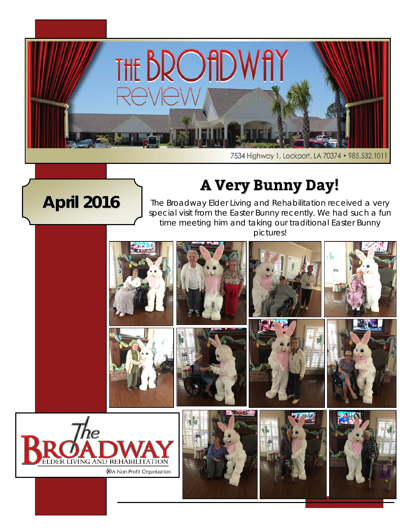

**April 2016**

7534 Highway 1, Lockport, LA 70374 · 985.532.1011

## **A Very Bunny Day!**

The Broadway Elder Living and Rehabilitation received a very special visit from the Easter Bunny recently. We had such a fun time meeting him and taking our traditional Easter Bunny pictures!

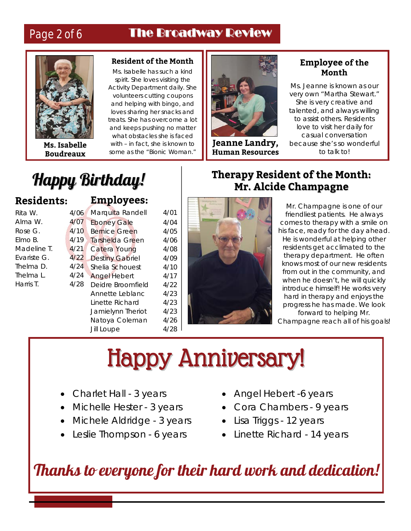## Page 2 of 6 The Broadway Review



**Ms. Isabelle Boudreaux**

#### **Resident of the Month**

Ms. Isabelle has such a kind spirit. She loves visiting the Activity Department daily. She volunteers cutting coupons and helping with bingo, and loves sharing her snacks and treats. She has overcome a lot and keeps pushing no matter what obstacles she is faced with – in fact, she is known to some as the "Bionic Woman."



**Jeanne Landry, Human Resources**

#### **Employee of the Month**

Ms. Jeanne is known as our very own "Martha Stewart." She is very creative and talented, and always willing to assist others. Residents love to visit her daily for casual conversation because she's so wonderful to talk to!

## Happy Birthday!

#### **Residents:**

| Rita W      |
|-------------|
| Alma W.     |
| Rose G.     |
| Flmo B.     |
| Madeline T. |
| Fvariste G. |
| Thelma D.   |
| Thelma L    |
| Harris T.   |
|             |

#### **Employees:**

| 4/06 | Marquita Randell       | 4/01 |
|------|------------------------|------|
| 4/07 | <b>Eboney Gale</b>     | 4/04 |
| 4/10 | <b>Bernice Green</b>   | 4/05 |
| 4/19 | Tarshelda Green        | 4/06 |
| 4/21 | Catera Young           | 4/08 |
| 4/22 | <b>Destiny Gabriel</b> | 4/09 |
| 4/24 | Shelia Schouest        | 4/10 |
| 4/24 | <b>Angel Hebert</b>    | 4/17 |
| 4/28 | Deidre Broomfield      | 4/22 |
|      | Annette Leblanc        | 4/23 |
|      | Linette Richard        | 4/23 |
|      | Jamielynn Theriot      | 4/23 |
|      | Natoya Coleman         | 4/26 |
|      | <b>Jill Loupe</b>      | 4/28 |
|      |                        |      |



### **Therapy Resident of the Month: Mr. Alcide Champagne**

Mr. Champagne is one of our friendliest patients. He always comes to therapy with a smile on his face, ready for the day ahead. He is wonderful at helping other residents get acclimated to the therapy department. He often knows most of our new residents from out in the community, and when he doesn't, he will quickly introduce himself! He works very hard in therapy and enjoys the progress he has made. We look forward to helping Mr.

Champagne reach all of his goals!

## Happy Anniversary!

- Charlet Hall 3 years
- Michelle Hester 3 years
- Michele Aldridge 3 years
- Leslie Thompson 6 years
- Angel Hebert -6 years
- Cora Chambers 9 years
- Lisa Triggs 12 years
- Linette Richard 14 years

## Thanks to everyone for their hard work and dedication!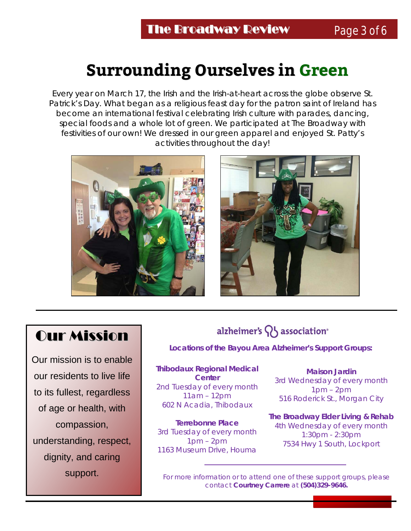## **Surrounding Ourselves in Green**

Every year on March 17, the Irish and the Irish-at-heart across the globe observe St. Patrick's Day. What began as a religious feast day for the patron saint of Ireland has become an international festival celebrating Irish culture with parades, dancing, special foods and a whole lot of green. We participated at The Broadway with festivities of our own! We dressed in our green apparel and enjoyed St. Patty's activities throughout the day!





## Our Mission

Our mission is to enable our residents to live life to its fullest, regardless of age or health, with compassion, understanding, respect, dignity, and caring support.

### alzheimer's  $\{ \}$  association<sup>®</sup>

**Locations of the Bayou Area Alzheimer's Support Groups:**

**Thibodaux Regional Medical Center** 2nd Tuesday of every month 11am – 12pm 602 N Acadia, Thibodaux

**Terrebonne Place** 3rd Tuesday of every month  $1pm - 2pm$ 1163 Museum Drive, Houma

**Maison Jardin** 3rd Wednesday of every month 1pm – 2pm 516 Roderick St., Morgan City

**The Broadway Elder Living & Rehab**  4th Wednesday of every month 1:30pm - 2:30pm 7534 Hwy 1 South, Lockport

For more information or to attend one of these support groups, please contact **Courtney Carrere** at **(504)329-9646.**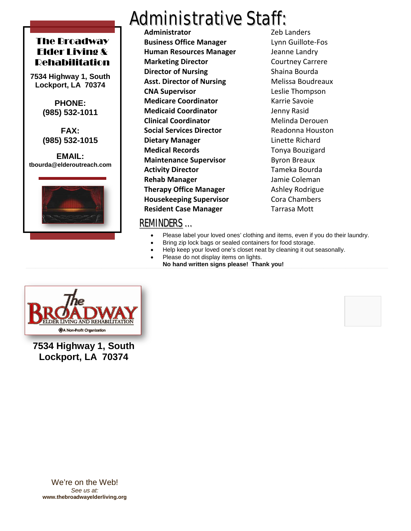#### The Broadway Elder Living & Rehabilitation

**7534 Highway 1, South Lockport, LA 70374**

> **PHONE: (985) 532-1011**

**FAX: (985) 532-1015**

**EMAIL: tbourda@elderoutreach.com**



L

## **Administrative Staff:**<br>Administrator

**Administrator Business Office Manager** Lynn Guillote-Fos **Human Resources Manager** Jeanne Landry **Marketing Director Courtney Carrere Director of Nursing Shaina Bourda Asst. Director of Nursing Melissa Boudreaux CNA Supervisor** Leslie Thompson **Medicare Coordinator** Karrie Savoie **Medicaid Coordinator** Jenny Rasid **Clinical Coordinator** Melinda Derouen **Social Services Director** Readonna Houston **Dietary Manager Linette Richard Medical Records** Tonya Bouzigard **Maintenance Supervisor** Byron Breaux **Activity Director** Tameka Bourda **Rehab Manager** Jamie Coleman **Therapy Office Manager** Ashley Rodrigue **Housekeeping Supervisor** Cora Chambers **Resident Case Manager** Tarrasa Mott

#### REMINDERS …

- Please label your loved ones' clothing and items, even if you do their laundry.
- Bring zip lock bags or sealed containers for food storage.
- Help keep your loved one's closet neat by cleaning it out seasonally.
- Please do not display items on lights.
	- **No hand written signs please! Thank you!**



**7534 Highway 1, South Lockport, LA 70374**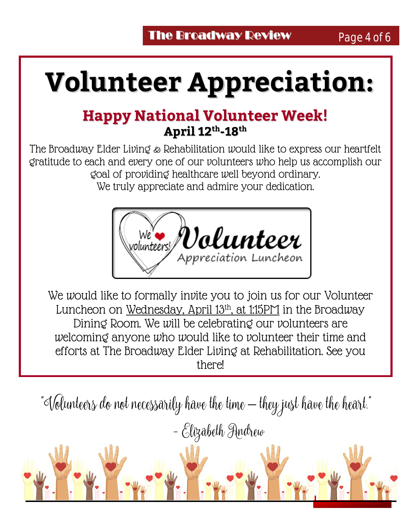# **Volunteer Appreciation:**

## **Happy National Volunteer Week! April 12th-18th**

The Broadway Elder Living & Rehabilitation would like to express our heartfelt gratitude to each and every one of our volunteers who help us accomplish our goal of providing healthcare well beyond ordinary. We truly appreciate and admire your dedication.



We would like to formally invite you to join us for our Volunteer Luncheon on Wednesday, April 13th, at 1:15PM in the Broadway Dining Room. We will be celebrating our volunteers are welcoming anyone who would like to volunteer their time and efforts at The Broadway Elder Living at Rehabilitation. See you there!

"Volunteers do not necessarily have the time – they just have the heart."

- Elizabeth Andrew